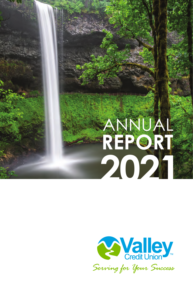# **2021** ANNUAL **REPORT**

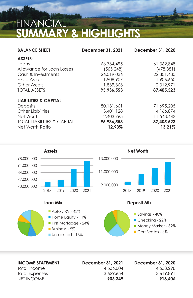### FINANCIAL **SUMMARY & HIGHLIGHTS**

| <b>BALANCE SHEET</b>                   | December 31, 2021 | December 31, 2020 |
|----------------------------------------|-------------------|-------------------|
| <b>ASSETS:</b>                         |                   |                   |
| Loans                                  | 66,734,495        | 61,362,848        |
| Allowance for Loan Losses              | (565, 248)        | (478, 381)        |
| Cash & Investments                     | 26,019,036        | 22,301,435        |
| Fixed Assets                           | 1,908,907         | 1,906,650         |
| Other Assets                           | 1,839,363         | 2.312.971         |
| <b>TOTAL ASSETS</b>                    | 95.936.553        | 87.405.523        |
| <b>LIABILITIES &amp; CAPITAL:</b>      |                   |                   |
| <b>Deposits</b>                        | 80,131,661        | 71,695,205        |
| Other Liabilities                      | 3,401,128         | 4,166,874         |
| Net Worth                              | 12,403,765        | 11,543,443        |
| <b>TOTAL LIABILITIES &amp; CAPITAL</b> | 95,936,553        | 87,405,523        |
| Net Worth Ratio                        | 12.93%            | 13.21%            |







Total Income 4,536,004 4,533,298

**INCOME STATEMENT December 31, 2021 December 31, 2020** Total Expenses 3,629,654 3,619,891 NET INCOME **906,349 913,406**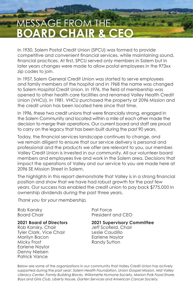### MESSAGE FROM THE **BOARD CHAIR & CEO**

In 1930, Salem Postal Credit Union (SPCU) was formed to provide competitive and convenient financial services, while maintaining sound, financial practices. At first, SPCU served only members in Salem but in later years changes were made to allow postal employees in the 973xx zip codes to join.

In 1957, Salem General Credit Union was started to serve employees and family members of the hospital and in 1968 the name was changed to Salem Hospital Credit Union. In 1976, the field of membership was opened to other health care facilities and renamed Valley Health Credit Union (VHCU). In 1981, VHCU purchased the property at 2096 Mission and the credit union has been located here since that time.

In 1996, these two credit unions that were financially strong, engaged in the Salem Community and located within a mile of each other made the decision to merge their operations. Our current board and staff are proud to carry on the legacy that has been built during the past 90 years.

Today, the financial services landscape continues to change, and we remain diligent to ensure that our service delivery is personal and professional and the products we offer are relevant to you, our member. Valley Credit Union is invested in our community. All our volunteer board members and employees live and work in the Salem area. Decisions that impact the operations of Valley and our service to you are made here at 2096 SE Mission Street in Salem.

The highlights in this report demonstrate that Valley is in a strong financial position and show that we have had robust growth for the past few years. Our success has enabled the credit union to pay back \$775,000 in ownership dividends during the past three years.

Thank you for your membership,

Rob Kansky **Pat Force** 

Rob Kansky, Chair Jeff Scofield, Chair Tyler Clark, Vice Chair Marilyn Bacon Earlene Naylor Micky Frost **Randy Sutton** Earlene Naylor Denny Nielsen Patrick Vance

Board Chair **President and CEO** 

**2021 Board of Directors 2021 Supervisory Committee**

Below are some of the organizations in our community that Valley Credit Union has actively supported during the past year: Salem Health Foundation, Union Gospel Mission, Mid Valley Literacy Center, Family Building Blocks, Willamette Humane Society, Marion Polk Food Share, Boys and Girls Club, Liberty House, Garten Services and American Cancer Society.